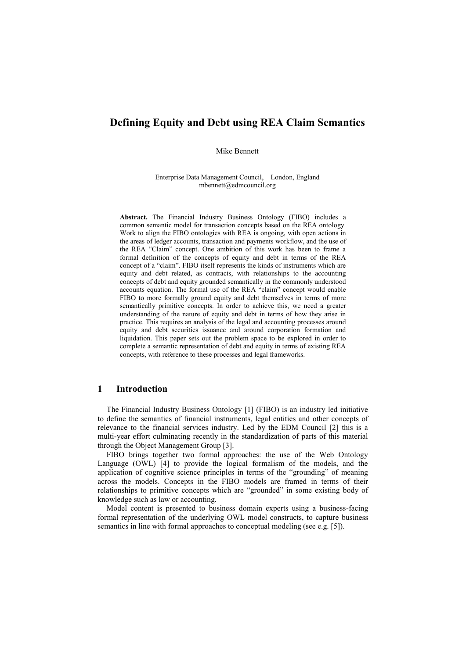# **Defining Equity and Debt using REA Claim Semantics**

Mike Bennett

Enterprise Data Management Council, London, England mbennett@edmcouncil.org

**Abstract.** The Financial Industry Business Ontology (FIBO) includes a common semantic model for transaction concepts based on the REA ontology. Work to align the FIBO ontologies with REA is ongoing, with open actions in the areas of ledger accounts, transaction and payments workflow, and the use of the REA "Claim" concept. One ambition of this work has been to frame a formal definition of the concepts of equity and debt in terms of the REA concept of a "claim". FIBO itself represents the kinds of instruments which are equity and debt related, as contracts, with relationships to the accounting concepts of debt and equity grounded semantically in the commonly understood accounts equation. The formal use of the REA "claim" concept would enable FIBO to more formally ground equity and debt themselves in terms of more semantically primitive concepts. In order to achieve this, we need a greater understanding of the nature of equity and debt in terms of how they arise in practice. This requires an analysis of the legal and accounting processes around equity and debt securities issuance and around corporation formation and liquidation. This paper sets out the problem space to be explored in order to complete a semantic representation of debt and equity in terms of existing REA concepts, with reference to these processes and legal frameworks.

### **1 Introduction**

The Financial Industry Business Ontology [1] (FIBO) is an industry led initiative to define the semantics of financial instruments, legal entities and other concepts of relevance to the financial services industry. Led by the EDM Council [2] this is a multi-year effort culminating recently in the standardization of parts of this material through the Object Management Group [3].

FIBO brings together two formal approaches: the use of the Web Ontology Language (OWL) [4] to provide the logical formalism of the models, and the application of cognitive science principles in terms of the "grounding" of meaning across the models. Concepts in the FIBO models are framed in terms of their relationships to primitive concepts which are "grounded" in some existing body of knowledge such as law or accounting.

Model content is presented to business domain experts using a business-facing formal representation of the underlying OWL model constructs, to capture business semantics in line with formal approaches to conceptual modeling (see e.g. [5]).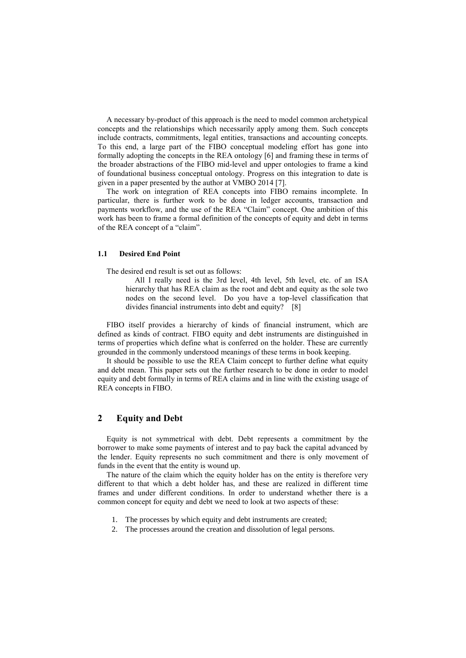A necessary by-product of this approach is the need to model common archetypical concepts and the relationships which necessarily apply among them. Such concepts include contracts, commitments, legal entities, transactions and accounting concepts. To this end, a large part of the FIBO conceptual modeling effort has gone into formally adopting the concepts in the REA ontology [6] and framing these in terms of the broader abstractions of the FIBO mid-level and upper ontologies to frame a kind of foundational business conceptual ontology. Progress on this integration to date is given in a paper presented by the author at VMBO 2014 [7].

The work on integration of REA concepts into FIBO remains incomplete. In particular, there is further work to be done in ledger accounts, transaction and payments workflow, and the use of the REA "Claim" concept. One ambition of this work has been to frame a formal definition of the concepts of equity and debt in terms of the REA concept of a "claim".

#### **1.1 Desired End Point**

The desired end result is set out as follows:

All I really need is the 3rd level, 4th level, 5th level, etc. of an ISA hierarchy that has REA claim as the root and debt and equity as the sole two nodes on the second level. Do you have a top-level classification that divides financial instruments into debt and equity? [8]

FIBO itself provides a hierarchy of kinds of financial instrument, which are defined as kinds of contract. FIBO equity and debt instruments are distinguished in terms of properties which define what is conferred on the holder. These are currently grounded in the commonly understood meanings of these terms in book keeping.

It should be possible to use the REA Claim concept to further define what equity and debt mean. This paper sets out the further research to be done in order to model equity and debt formally in terms of REA claims and in line with the existing usage of REA concepts in FIBO.

## **2 Equity and Debt**

Equity is not symmetrical with debt. Debt represents a commitment by the borrower to make some payments of interest and to pay back the capital advanced by the lender. Equity represents no such commitment and there is only movement of funds in the event that the entity is wound up.

The nature of the claim which the equity holder has on the entity is therefore very different to that which a debt holder has, and these are realized in different time frames and under different conditions. In order to understand whether there is a common concept for equity and debt we need to look at two aspects of these:

- 1. The processes by which equity and debt instruments are created;
- 2. The processes around the creation and dissolution of legal persons.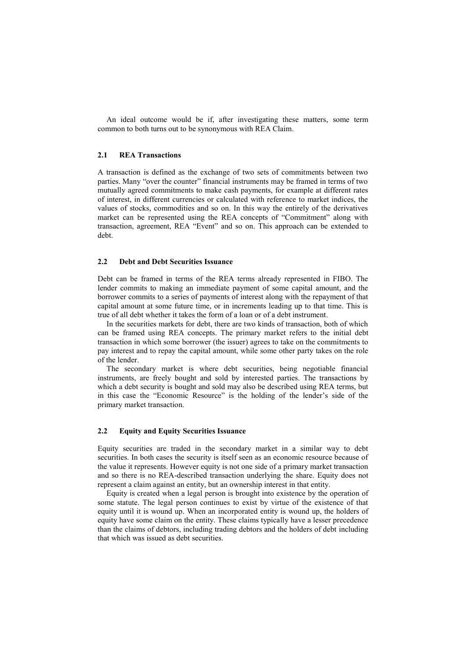An ideal outcome would be if, after investigating these matters, some term common to both turns out to be synonymous with REA Claim.

#### **2.1 REA Transactions**

A transaction is defined as the exchange of two sets of commitments between two parties. Many "over the counter" financial instruments may be framed in terms of two mutually agreed commitments to make cash payments, for example at different rates of interest, in different currencies or calculated with reference to market indices, the values of stocks, commodities and so on. In this way the entirely of the derivatives market can be represented using the REA concepts of "Commitment" along with transaction, agreement, REA "Event" and so on. This approach can be extended to debt.

#### **2.2 Debt and Debt Securities Issuance**

Debt can be framed in terms of the REA terms already represented in FIBO. The lender commits to making an immediate payment of some capital amount, and the borrower commits to a series of payments of interest along with the repayment of that capital amount at some future time, or in increments leading up to that time. This is true of all debt whether it takes the form of a loan or of a debt instrument.

In the securities markets for debt, there are two kinds of transaction, both of which can be framed using REA concepts. The primary market refers to the initial debt transaction in which some borrower (the issuer) agrees to take on the commitments to pay interest and to repay the capital amount, while some other party takes on the role of the lender.

The secondary market is where debt securities, being negotiable financial instruments, are freely bought and sold by interested parties. The transactions by which a debt security is bought and sold may also be described using REA terms, but in this case the "Economic Resource" is the holding of the lender's side of the primary market transaction.

### **2.2 Equity and Equity Securities Issuance**

Equity securities are traded in the secondary market in a similar way to debt securities. In both cases the security is itself seen as an economic resource because of the value it represents. However equity is not one side of a primary market transaction and so there is no REA-described transaction underlying the share. Equity does not represent a claim against an entity, but an ownership interest in that entity.

Equity is created when a legal person is brought into existence by the operation of some statute. The legal person continues to exist by virtue of the existence of that equity until it is wound up. When an incorporated entity is wound up, the holders of equity have some claim on the entity. These claims typically have a lesser precedence than the claims of debtors, including trading debtors and the holders of debt including that which was issued as debt securities.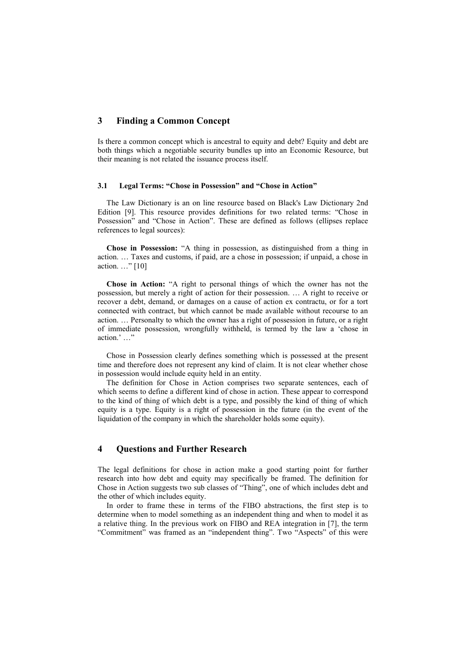## **3 Finding a Common Concept**

Is there a common concept which is ancestral to equity and debt? Equity and debt are both things which a negotiable security bundles up into an Economic Resource, but their meaning is not related the issuance process itself.

#### **3.1 Legal Terms: "Chose in Possession" and "Chose in Action"**

The Law Dictionary is an on line resource based on Black's Law Dictionary 2nd Edition [9]. This resource provides definitions for two related terms: "Chose in Possession" and "Chose in Action". These are defined as follows (ellipses replace references to legal sources):

**Chose in Possession:** "A thing in possession, as distinguished from a thing in action. … Taxes and customs, if paid, are a chose in possession; if unpaid, a chose in action. …" [10]

**Chose in Action:** "A right to personal things of which the owner has not the possession, but merely a right of action for their possession. … A right to receive or recover a debt, demand, or damages on a cause of action ex contractu, or for a tort connected with contract, but which cannot be made available without recourse to an action. … Personalty to which the owner has a right of possession in future, or a right of immediate possession, wrongfully withheld, is termed by the law a 'chose in action.' …"

Chose in Possession clearly defines something which is possessed at the present time and therefore does not represent any kind of claim. It is not clear whether chose in possession would include equity held in an entity.

The definition for Chose in Action comprises two separate sentences, each of which seems to define a different kind of chose in action. These appear to correspond to the kind of thing of which debt is a type, and possibly the kind of thing of which equity is a type. Equity is a right of possession in the future (in the event of the liquidation of the company in which the shareholder holds some equity).

### **4 Questions and Further Research**

The legal definitions for chose in action make a good starting point for further research into how debt and equity may specifically be framed. The definition for Chose in Action suggests two sub classes of "Thing", one of which includes debt and the other of which includes equity.

In order to frame these in terms of the FIBO abstractions, the first step is to determine when to model something as an independent thing and when to model it as a relative thing. In the previous work on FIBO and REA integration in [7], the term "Commitment" was framed as an "independent thing". Two "Aspects" of this were